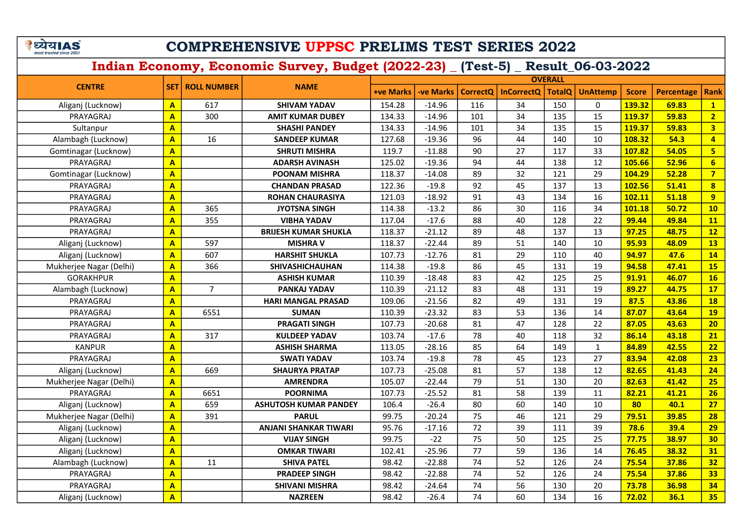# COMPREHENSIVE UPPSC PRELIMS TEST SERIES 2022

| <b>CENTRE</b>           |                         |                          | <b>NAME</b>                  | <b>OVERALL</b> |           |                 |                   |               |                 |              |                   |                         |  |
|-------------------------|-------------------------|--------------------------|------------------------------|----------------|-----------|-----------------|-------------------|---------------|-----------------|--------------|-------------------|-------------------------|--|
|                         |                         | <b>SET   ROLL NUMBER</b> |                              | +ve Marks      | -ve Marks | <b>CorrectQ</b> | <b>InCorrectQ</b> | <b>TotalQ</b> | <b>UnAttemp</b> | <b>Score</b> | <b>Percentage</b> | <b>Rank</b>             |  |
| Aliganj (Lucknow)       | $\overline{\mathbf{A}}$ | 617                      | <b>SHIVAM YADAV</b>          | 154.28         | $-14.96$  | 116             | 34                | 150           | $\mathbf{0}$    | 139.32       | 69.83             | $\mathbf{1}$            |  |
| PRAYAGRAJ               | $\mathbf{A}$            | 300                      | <b>AMIT KUMAR DUBEY</b>      | 134.33         | $-14.96$  | 101             | 34                | 135           | 15              | 119.37       | 59.83             | $\overline{2}$          |  |
| Sultanpur               | $\mathbf{A}$            |                          | <b>SHASHI PANDEY</b>         | 134.33         | $-14.96$  | 101             | 34                | 135           | 15              | 119.37       | 59.83             | 3 <sup>1</sup>          |  |
| Alambagh (Lucknow)      | $\overline{\mathsf{A}}$ | 16                       | <b>SANDEEP KUMAR</b>         | 127.68         | $-19.36$  | 96              | 44                | 140           | 10              | 108.32       | 54.3              | $\overline{4}$          |  |
| Gomtinagar (Lucknow)    | $\overline{\mathbf{A}}$ |                          | <b>SHRUTI MISHRA</b>         | 119.7          | $-11.88$  | 90              | 27                | 117           | 33              | 107.82       | 54.05             | $5\overline{5}$         |  |
| PRAYAGRAJ               | $\overline{\mathbf{A}}$ |                          | <b>ADARSH AVINASH</b>        | 125.02         | $-19.36$  | 94              | 44                | 138           | 12              | 105.66       | 52.96             | $6\overline{}$          |  |
| Gomtinagar (Lucknow)    | $\overline{\mathsf{A}}$ |                          | <b>POONAM MISHRA</b>         | 118.37         | $-14.08$  | 89              | 32                | 121           | 29              | 104.29       | 52.28             | $\overline{7}$          |  |
| PRAYAGRAJ               | $\overline{\mathbf{A}}$ |                          | <b>CHANDAN PRASAD</b>        | 122.36         | $-19.8$   | 92              | 45                | 137           | 13              | 102.56       | 51.41             | $\overline{\mathbf{8}}$ |  |
| PRAYAGRAJ               | $\overline{\mathbf{A}}$ |                          | <b>ROHAN CHAURASIYA</b>      | 121.03         | $-18.92$  | 91              | 43                | 134           | 16              | 102.11       | 51.18             | 9 <sup>°</sup>          |  |
| PRAYAGRAJ               | $\mathbf{A}$            | 365                      | <b>JYOTSNA SINGH</b>         | 114.38         | $-13.2$   | 86              | 30                | 116           | 34              | 101.18       | 50.72             | 10                      |  |
| PRAYAGRAJ               | $\overline{\mathsf{A}}$ | 355                      | <b>VIBHA YADAV</b>           | 117.04         | $-17.6$   | 88              | 40                | 128           | 22              | 99.44        | 49.84             | 11                      |  |
| PRAYAGRAJ               | $\mathbf{A}$            |                          | <b>BRIJESH KUMAR SHUKLA</b>  | 118.37         | $-21.12$  | 89              | 48                | 137           | 13              | 97.25        | 48.75             | 12                      |  |
| Aliganj (Lucknow)       | $\mathbf{A}$            | 597                      | <b>MISHRA V</b>              | 118.37         | $-22.44$  | 89              | 51                | 140           | 10              | 95.93        | 48.09             | 13                      |  |
| Aliganj (Lucknow)       | $\overline{\mathbf{A}}$ | 607                      | <b>HARSHIT SHUKLA</b>        | 107.73         | $-12.76$  | 81              | 29                | 110           | 40              | 94.97        | 47.6              | 14                      |  |
| Mukherjee Nagar (Delhi) | $\mathbf{A}$            | 366                      | <b>SHIVASHICHAUHAN</b>       | 114.38         | $-19.8$   | 86              | 45                | 131           | 19              | 94.58        | 47.41             | <b>15</b>               |  |
| <b>GORAKHPUR</b>        | $\mathbf{A}$            |                          | <b>ASHISH KUMAR</b>          | 110.39         | $-18.48$  | 83              | 42                | 125           | 25              | 91.91        | 46.07             | 16                      |  |
| Alambagh (Lucknow)      | $\overline{\mathbf{A}}$ | $\overline{7}$           | PANKAJ YADAV                 | 110.39         | $-21.12$  | 83              | 48                | 131           | 19              | 89.27        | 44.75             | 17                      |  |
| PRAYAGRAJ               | $\overline{A}$          |                          | <b>HARI MANGAL PRASAD</b>    | 109.06         | $-21.56$  | 82              | 49                | 131           | 19              | 87.5         | 43.86             | <b>18</b>               |  |
| PRAYAGRAJ               | $\overline{\mathbf{A}}$ | 6551                     | <b>SUMAN</b>                 | 110.39         | $-23.32$  | 83              | 53                | 136           | 14              | 87.07        | 43.64             | <b>19</b>               |  |
| PRAYAGRAJ               | $\overline{\mathbf{A}}$ |                          | <b>PRAGATI SINGH</b>         | 107.73         | $-20.68$  | 81              | 47                | 128           | 22              | 87.05        | 43.63             | 20                      |  |
| PRAYAGRAJ               | $\overline{\mathbf{A}}$ | 317                      | <b>KULDEEP YADAV</b>         | 103.74         | $-17.6$   | 78              | 40                | 118           | 32              | 86.14        | 43.18             | 21                      |  |
| <b>KANPUR</b>           | $\mathbf{A}$            |                          | <b>ASHISH SHARMA</b>         | 113.05         | $-28.16$  | 85              | 64                | 149           | $\mathbf{1}$    | 84.89        | 42.55             | 22                      |  |
| PRAYAGRAJ               | $\mathbf{A}$            |                          | <b>SWATI YADAV</b>           | 103.74         | $-19.8$   | 78              | 45                | 123           | 27              | 83.94        | 42.08             | 23                      |  |
| Aliganj (Lucknow)       | $\overline{\mathbf{A}}$ | 669                      | <b>SHAURYA PRATAP</b>        | 107.73         | $-25.08$  | 81              | 57                | 138           | 12              | 82.65        | 41.43             | 24                      |  |
| Mukherjee Nagar (Delhi) | $\overline{\mathsf{A}}$ |                          | <b>AMRENDRA</b>              | 105.07         | $-22.44$  | 79              | 51                | 130           | 20              | 82.63        | 41.42             | 25                      |  |
| PRAYAGRAJ               | A                       | 6651                     | <b>POORNIMA</b>              | 107.73         | $-25.52$  | 81              | 58                | 139           | 11              | 82.21        | 41.21             | 26                      |  |
| Aliganj (Lucknow)       | A                       | 659                      | <b>ASHUTOSH KUMAR PANDEY</b> | 106.4          | $-26.4$   | 80              | 60                | 140           | 10              | 80           | 40.1              | 27                      |  |
| Mukherjee Nagar (Delhi) | A                       | 391                      | <b>PARUL</b>                 | 99.75          | $-20.24$  | 75              | 46                | 121           | 29              | 79.51        | 39.85             | 28                      |  |
| Aliganj (Lucknow)       | A                       |                          | <b>ANJANI SHANKAR TIWARI</b> | 95.76          | $-17.16$  | 72              | 39                | 111           | 39              | 78.6         | 39.4              | 29                      |  |
| Aliganj (Lucknow)       | A                       |                          | <b>VIJAY SINGH</b>           | 99.75          | $-22$     | 75              | 50                | 125           | 25              | 77.75        | 38.97             | 30 <sub>o</sub>         |  |
| Aliganj (Lucknow)       | $\overline{\mathbf{A}}$ |                          | <b>OMKAR TIWARI</b>          | 102.41         | $-25.96$  | 77              | 59                | 136           | 14              | 76.45        | 38.32             | 31                      |  |
| Alambagh (Lucknow)      | $\overline{A}$          | 11                       | <b>SHIVA PATEL</b>           | 98.42          | $-22.88$  | 74              | 52                | 126           | 24              | 75.54        | 37.86             | 32                      |  |
| PRAYAGRAJ               | $\overline{\mathbf{A}}$ |                          | <b>PRADEEP SINGH</b>         | 98.42          | $-22.88$  | 74              | 52                | 126           | 24              | 75.54        | 37.86             | 33                      |  |
| PRAYAGRAJ               | $\overline{A}$          |                          | <b>SHIVANI MISHRA</b>        | 98.42          | $-24.64$  | 74              | 56                | 130           | 20              | 73.78        | 36.98             | 34                      |  |
| Aliganj (Lucknow)       | $\overline{\mathbf{A}}$ |                          | <b>NAZREEN</b>               | 98.42          | $-26.4$   | 74              | 60                | 134           | 16              | 72.02        | 36.1              | 35                      |  |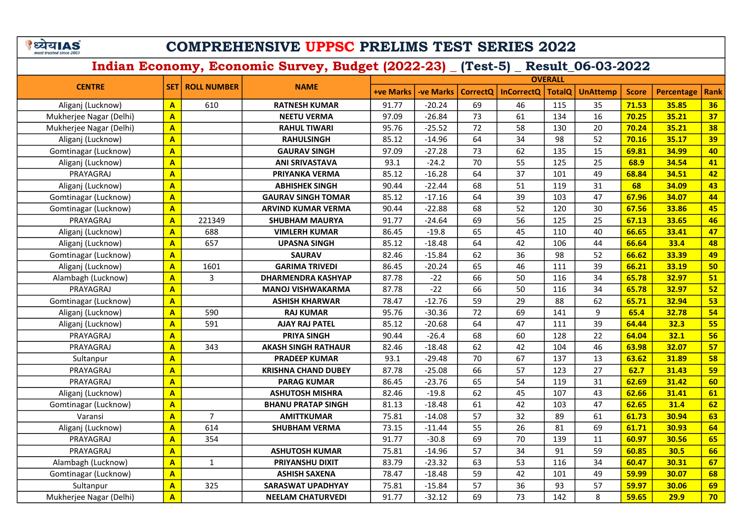# COMPREHENSIVE UPPSC PRELIMS TEST SERIES 2022

|                         |                         |                          |                            | <b>OVERALL</b> |           |                 |                   |               |                 |              |                   |             |  |
|-------------------------|-------------------------|--------------------------|----------------------------|----------------|-----------|-----------------|-------------------|---------------|-----------------|--------------|-------------------|-------------|--|
| <b>CENTRE</b>           |                         | <b>SET   ROLL NUMBER</b> | <b>NAME</b>                | +ve Marks      | -ve Marks | <b>CorrectQ</b> | <b>InCorrectQ</b> | <b>TotalQ</b> | <b>UnAttemp</b> | <b>Score</b> | <b>Percentage</b> | <b>Rank</b> |  |
| Aliganj (Lucknow)       | $\mathbf{A}$            | 610                      | <b>RATNESH KUMAR</b>       | 91.77          | $-20.24$  | 69              | 46                | 115           | 35              | 71.53        | 35.85             | 36          |  |
| Mukherjee Nagar (Delhi) | $\overline{A}$          |                          | <b>NEETU VERMA</b>         | 97.09          | $-26.84$  | 73              | 61                | 134           | 16              | 70.25        | 35.21             | 37          |  |
| Mukherjee Nagar (Delhi) | $\overline{\mathsf{A}}$ |                          | <b>RAHUL TIWARI</b>        | 95.76          | $-25.52$  | 72              | 58                | 130           | 20              | 70.24        | 35.21             | 38          |  |
| Aliganj (Lucknow)       | $\overline{\mathsf{A}}$ |                          | <b>RAHULSINGH</b>          | 85.12          | $-14.96$  | 64              | 34                | 98            | 52              | 70.16        | 35.17             | 39          |  |
| Gomtinagar (Lucknow)    | $\overline{\mathbf{A}}$ |                          | <b>GAURAV SINGH</b>        | 97.09          | $-27.28$  | 73              | 62                | 135           | 15              | 69.81        | 34.99             | 40          |  |
| Aliganj (Lucknow)       | $\overline{\mathsf{A}}$ |                          | <b>ANI SRIVASTAVA</b>      | 93.1           | $-24.2$   | 70              | 55                | 125           | 25              | 68.9         | 34.54             | 41          |  |
| PRAYAGRAJ               | $\overline{\mathsf{A}}$ |                          | PRIYANKA VERMA             | 85.12          | $-16.28$  | 64              | 37                | 101           | 49              | 68.84        | 34.51             | 42          |  |
| Aliganj (Lucknow)       | $\overline{\mathbf{A}}$ |                          | <b>ABHISHEK SINGH</b>      | 90.44          | $-22.44$  | 68              | 51                | 119           | 31              | 68           | 34.09             | 43          |  |
| Gomtinagar (Lucknow)    | $\overline{\mathsf{A}}$ |                          | <b>GAURAV SINGH TOMAR</b>  | 85.12          | $-17.16$  | 64              | 39                | 103           | 47              | 67.96        | 34.07             | 44          |  |
| Gomtinagar (Lucknow)    | $\overline{\mathsf{A}}$ |                          | ARVIND KUMAR VERMA         | 90.44          | $-22.88$  | 68              | 52                | 120           | 30              | 67.56        | 33.86             | 45          |  |
| PRAYAGRAJ               | $\mathbf{A}$            | 221349                   | <b>SHUBHAM MAURYA</b>      | 91.77          | $-24.64$  | 69              | 56                | 125           | 25              | 67.13        | 33.65             | 46          |  |
| Aliganj (Lucknow)       | $\mathbf{A}$            | 688                      | <b>VIMLERH KUMAR</b>       | 86.45          | $-19.8$   | 65              | 45                | 110           | 40              | 66.65        | 33.41             | 47          |  |
| Aliganj (Lucknow)       | $\mathbf{A}$            | 657                      | <b>UPASNA SINGH</b>        | 85.12          | $-18.48$  | 64              | 42                | 106           | 44              | 66.64        | 33.4              | 48          |  |
| Gomtinagar (Lucknow)    | $\mathbf{A}$            |                          | <b>SAURAV</b>              | 82.46          | $-15.84$  | 62              | 36                | 98            | 52              | 66.62        | 33.39             | 49          |  |
| Aliganj (Lucknow)       | $\mathbf{A}$            | 1601                     | <b>GARIMA TRIVEDI</b>      | 86.45          | $-20.24$  | 65              | 46                | 111           | 39              | 66.21        | 33.19             | 50          |  |
| Alambagh (Lucknow)      | $\mathbf{A}$            | 3                        | DHARMENDRA KASHYAP         | 87.78          | $-22$     | 66              | 50                | 116           | 34              | 65.78        | 32.97             | 51          |  |
| PRAYAGRAJ               | $\overline{\mathbf{A}}$ |                          | <b>MANOJ VISHWAKARMA</b>   | 87.78          | $-22$     | 66              | 50                | 116           | 34              | 65.78        | 32.97             | 52          |  |
| Gomtinagar (Lucknow)    | $\mathbf{A}$            |                          | <b>ASHISH KHARWAR</b>      | 78.47          | $-12.76$  | 59              | 29                | 88            | 62              | 65.71        | 32.94             | 53          |  |
| Aliganj (Lucknow)       | $\overline{\mathbf{A}}$ | 590                      | <b>RAJ KUMAR</b>           | 95.76          | $-30.36$  | 72              | 69                | 141           | 9               | 65.4         | 32.78             | 54          |  |
| Aliganj (Lucknow)       | $\overline{A}$          | 591                      | <b>AJAY RAJ PATEL</b>      | 85.12          | $-20.68$  | 64              | 47                | 111           | 39              | 64.44        | 32.3              | 55          |  |
| PRAYAGRAJ               | $\overline{\mathbf{A}}$ |                          | PRIYA SINGH                | 90.44          | $-26.4$   | 68              | 60                | 128           | 22              | 64.04        | 32.1              | 56          |  |
| PRAYAGRAJ               | $\overline{A}$          | 343                      | <b>AKASH SINGH RATHAUR</b> | 82.46          | $-18.48$  | 62              | 42                | 104           | 46              | 63.98        | 32.07             | 57          |  |
| Sultanpur               | $\overline{\mathbf{A}}$ |                          | <b>PRADEEP KUMAR</b>       | 93.1           | $-29.48$  | 70              | 67                | 137           | 13              | 63.62        | 31.89             | 58          |  |
| PRAYAGRAJ               | $\overline{A}$          |                          | <b>KRISHNA CHAND DUBEY</b> | 87.78          | $-25.08$  | 66              | 57                | 123           | 27              | 62.7         | 31.43             | 59          |  |
| PRAYAGRAJ               | $\overline{A}$          |                          | <b>PARAG KUMAR</b>         | 86.45          | $-23.76$  | 65              | 54                | 119           | 31              | 62.69        | 31.42             | 60          |  |
| Aliganj (Lucknow)       | $\overline{\mathbf{A}}$ |                          | <b>ASHUTOSH MISHRA</b>     | 82.46          | $-19.8$   | 62              | 45                | 107           | 43              | 62.66        | 31.41             | 61          |  |
| Gomtinagar (Lucknow)    | $\overline{\mathbf{A}}$ |                          | <b>BHANU PRATAP SINGH</b>  | 81.13          | $-18.48$  | 61              | 42                | 103           | 47              | 62.65        | 31.4              | 62          |  |
| Varansi                 | $\overline{A}$          | $\overline{7}$           | <b>AMITTKUMAR</b>          | 75.81          | $-14.08$  | 57              | 32                | 89            | 61              | 61.73        | 30.94             | 63          |  |
| Aliganj (Lucknow)       | A                       | 614                      | <b>SHUBHAM VERMA</b>       | 73.15          | $-11.44$  | 55              | 26                | 81            | 69              | 61.71        | 30.93             | 64          |  |
| PRAYAGRAJ               | A                       | 354                      |                            | 91.77          | $-30.8$   | 69              | 70                | 139           | 11              | 60.97        | 30.56             | 65          |  |
| PRAYAGRAJ               | A                       |                          | <b>ASHUTOSH KUMAR</b>      | 75.81          | $-14.96$  | $\overline{57}$ | 34                | 91            | 59              | 60.85        | 30.5              | 66          |  |
| Alambagh (Lucknow)      | A                       | $\mathbf{1}$             | PRIYANSHU DIXIT            | 83.79          | $-23.32$  | 63              | 53                | 116           | 34              | 60.47        | 30.31             | 67          |  |
| Gomtinagar (Lucknow)    | $\overline{\mathbf{A}}$ |                          | <b>ASHISH SAXENA</b>       | 78.47          | $-18.48$  | 59              | 42                | 101           | 49              | 59.99        | 30.07             | 68          |  |
| Sultanpur               | $\overline{\mathsf{A}}$ | 325                      | <b>SARASWAT UPADHYAY</b>   | 75.81          | $-15.84$  | 57              | 36                | 93            | 57              | 59.97        | 30.06             | 69          |  |
| Mukherjee Nagar (Delhi) | $\overline{\mathsf{A}}$ |                          | <b>NEELAM CHATURVEDI</b>   | 91.77          | $-32.12$  | 69              | 73                | 142           | 8               | 59.65        | 29.9              | 70          |  |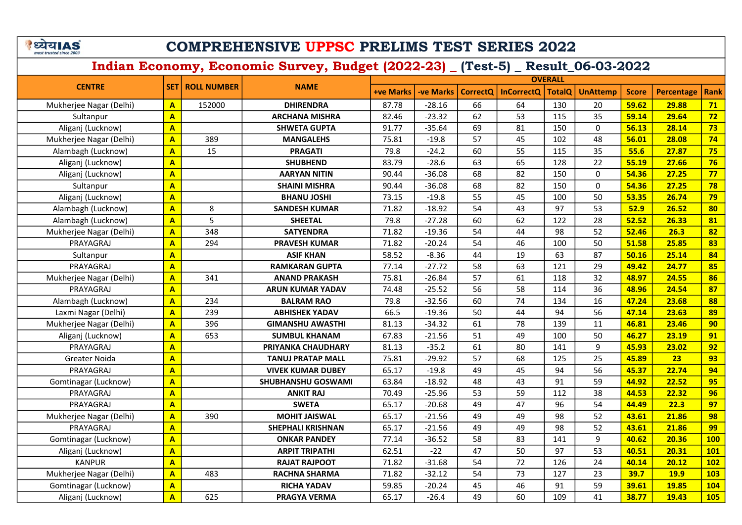# COMPREHENSIVE UPPSC PRELIMS TEST SERIES 2022

| <b>CENTRE</b>           |                         | <b>ROLL NUMBER</b><br><b>NAME</b> |                          | <b>OVERALL</b>   |           |    |                       |               |                 |              |                   |            |  |
|-------------------------|-------------------------|-----------------------------------|--------------------------|------------------|-----------|----|-----------------------|---------------|-----------------|--------------|-------------------|------------|--|
|                         | <b>SET</b>              |                                   |                          | <b>+ve Marks</b> | -ve Marks |    | CorrectQ   InCorrectQ | <b>TotalQ</b> | <b>UnAttemp</b> | <b>Score</b> | <b>Percentage</b> | Rank       |  |
| Mukherjee Nagar (Delhi) | $\mathbf{A}$            | 152000                            | <b>DHIRENDRA</b>         | 87.78            | $-28.16$  | 66 | 64                    | 130           | 20              | 59.62        | 29.88             | 71         |  |
| Sultanpur               | $\overline{\mathbf{A}}$ |                                   | <b>ARCHANA MISHRA</b>    | 82.46            | $-23.32$  | 62 | 53                    | 115           | 35              | 59.14        | 29.64             | 72         |  |
| Aliganj (Lucknow)       | $\overline{\mathbf{A}}$ |                                   | <b>SHWETA GUPTA</b>      | 91.77            | $-35.64$  | 69 | 81                    | 150           | $\mathbf 0$     | 56.13        | 28.14             | 73         |  |
| Mukherjee Nagar (Delhi) | $\overline{\mathbf{A}}$ | 389                               | <b>MANGALEHS</b>         | 75.81            | $-19.8$   | 57 | 45                    | 102           | 48              | 56.01        | 28.08             | 74         |  |
| Alambagh (Lucknow)      | $\overline{\mathbf{A}}$ | 15                                | <b>PRAGATI</b>           | 79.8             | $-24.2$   | 60 | 55                    | 115           | 35              | 55.6         | 27.87             | 75         |  |
| Aliganj (Lucknow)       | $\overline{\mathbf{A}}$ |                                   | <b>SHUBHEND</b>          | 83.79            | $-28.6$   | 63 | 65                    | 128           | 22              | 55.19        | 27.66             | 76         |  |
| Aliganj (Lucknow)       | $\mathbf{A}$            |                                   | <b>AARYAN NITIN</b>      | 90.44            | $-36.08$  | 68 | 82                    | 150           | $\mathbf 0$     | 54.36        | 27.25             | 77         |  |
| Sultanpur               | $\overline{\mathbf{A}}$ |                                   | <b>SHAINI MISHRA</b>     | 90.44            | $-36.08$  | 68 | 82                    | 150           | $\mathbf{0}$    | 54.36        | 27.25             | 78         |  |
| Aliganj (Lucknow)       | $\mathbf{A}$            |                                   | <b>BHANU JOSHI</b>       | 73.15            | $-19.8$   | 55 | 45                    | 100           | 50              | 53.35        | 26.74             | 79         |  |
| Alambagh (Lucknow)      | $\mathbf{A}$            | 8                                 | <b>SANDESH KUMAR</b>     | 71.82            | $-18.92$  | 54 | 43                    | 97            | 53              | 52.9         | 26.52             | 80         |  |
| Alambagh (Lucknow)      | $\mathbf{A}$            | 5                                 | <b>SHEETAL</b>           | 79.8             | $-27.28$  | 60 | 62                    | 122           | 28              | 52.52        | 26.33             | 81         |  |
| Mukherjee Nagar (Delhi) | $\mathbf{A}$            | 348                               | <b>SATYENDRA</b>         | 71.82            | $-19.36$  | 54 | 44                    | 98            | 52              | 52.46        | 26.3              | 82         |  |
| PRAYAGRAJ               | $\mathbf{A}$            | 294                               | <b>PRAVESH KUMAR</b>     | 71.82            | $-20.24$  | 54 | 46                    | 100           | 50              | 51.58        | 25.85             | 83         |  |
| Sultanpur               | $\overline{\mathbf{A}}$ |                                   | <b>ASIF KHAN</b>         | 58.52            | $-8.36$   | 44 | 19                    | 63            | 87              | 50.16        | 25.14             | 84         |  |
| PRAYAGRAJ               | $\mathbf{A}$            |                                   | <b>RAMKARAN GUPTA</b>    | 77.14            | $-27.72$  | 58 | 63                    | 121           | 29              | 49.42        | 24.77             | 85         |  |
| Mukherjee Nagar (Delhi) | $\overline{\mathbf{A}}$ | 341                               | <b>ANAND PRAKASH</b>     | 75.81            | $-26.84$  | 57 | 61                    | 118           | 32              | 48.97        | 24.55             | 86         |  |
| PRAYAGRAJ               | $\mathbf{A}$            |                                   | <b>ARUN KUMAR YADAV</b>  | 74.48            | $-25.52$  | 56 | 58                    | 114           | 36              | 48.96        | 24.54             | 87         |  |
| Alambagh (Lucknow)      | $\overline{\mathbf{A}}$ | 234                               | <b>BALRAM RAO</b>        | 79.8             | $-32.56$  | 60 | 74                    | 134           | 16              | 47.24        | 23.68             | 88         |  |
| Laxmi Nagar (Delhi)     | $\overline{A}$          | 239                               | <b>ABHISHEK YADAV</b>    | 66.5             | $-19.36$  | 50 | 44                    | 94            | 56              | 47.14        | 23.63             | 89         |  |
| Mukherjee Nagar (Delhi) | $\mathbf{A}$            | 396                               | <b>GIMANSHU AWASTHI</b>  | 81.13            | $-34.32$  | 61 | 78                    | 139           | 11              | 46.81        | 23.46             | 90         |  |
| Aliganj (Lucknow)       | $\overline{A}$          | 653                               | <b>SUMBUL KHANAM</b>     | 67.83            | $-21.56$  | 51 | 49                    | 100           | 50              | 46.27        | 23.19             | 91         |  |
| PRAYAGRAJ               | $\mathbf{A}$            |                                   | PRIYANKA CHAUDHARY       | 81.13            | $-35.2$   | 61 | 80                    | 141           | 9               | 45.93        | 23.02             | 92         |  |
| Greater Noida           | $\mathbf{A}$            |                                   | <b>TANUJ PRATAP MALL</b> | 75.81            | $-29.92$  | 57 | 68                    | 125           | 25              | 45.89        | 23                | 93         |  |
| PRAYAGRAJ               | $\mathbf{A}$            |                                   | <b>VIVEK KUMAR DUBEY</b> | 65.17            | $-19.8$   | 49 | 45                    | 94            | 56              | 45.37        | 22.74             | 94         |  |
| Gomtinagar (Lucknow)    | $\overline{\mathbf{A}}$ |                                   | SHUBHANSHU GOSWAMI       | 63.84            | $-18.92$  | 48 | 43                    | 91            | 59              | 44.92        | 22.52             | 95         |  |
| PRAYAGRAJ               | $\mathbf{A}$            |                                   | <b>ANKIT RAJ</b>         | 70.49            | $-25.96$  | 53 | 59                    | 112           | 38              | 44.53        | 22.32             | 96         |  |
| PRAYAGRAJ               | $\mathbf{A}$            |                                   | <b>SWETA</b>             | 65.17            | $-20.68$  | 49 | 47                    | 96            | 54              | 44.49        | 22.3              | 97         |  |
| Mukherjee Nagar (Delhi) | $\overline{\mathbf{A}}$ | 390                               | <b>MOHIT JAISWAL</b>     | 65.17            | $-21.56$  | 49 | 49                    | 98            | 52              | 43.61        | 21.86             | 98         |  |
| PRAYAGRAJ               | $\overline{\mathbf{A}}$ |                                   | <b>SHEPHALI KRISHNAN</b> | 65.17            | $-21.56$  | 49 | 49                    | 98            | 52              | 43.61        | 21.86             | 99         |  |
| Gomtinagar (Lucknow)    | $\overline{\mathsf{A}}$ |                                   | <b>ONKAR PANDEY</b>      | 77.14            | $-36.52$  | 58 | 83                    | 141           | 9               | 40.62        | 20.36             | <b>100</b> |  |
| Aliganj (Lucknow)       | $\overline{\mathbf{A}}$ |                                   | <b>ARPIT TRIPATHI</b>    | 62.51            | $-22$     | 47 | 50                    | 97            | 53              | 40.51        | 20.31             | <b>101</b> |  |
| <b>KANPUR</b>           | $\overline{\mathbf{A}}$ |                                   | <b>RAJAT RAJPOOT</b>     | 71.82            | $-31.68$  | 54 | 72                    | 126           | 24              | 40.14        | 20.12             | <b>102</b> |  |
| Mukherjee Nagar (Delhi) | $\mathbf{A}$            | 483                               | <b>RACHNA SHARMA</b>     | 71.82            | $-32.12$  | 54 | 73                    | 127           | 23              | 39.7         | <b>19.9</b>       | <b>103</b> |  |
| Gomtinagar (Lucknow)    | $\mathbf{A}$            |                                   | <b>RICHA YADAV</b>       | 59.85            | $-20.24$  | 45 | 46                    | 91            | 59              | 39.61        | 19.85             | <b>104</b> |  |
| Aliganj (Lucknow)       | $\overline{\mathbf{A}}$ | 625                               | <b>PRAGYA VERMA</b>      | 65.17            | $-26.4$   | 49 | 60                    | 109           | 41              | 38.77        | 19.43             | <b>105</b> |  |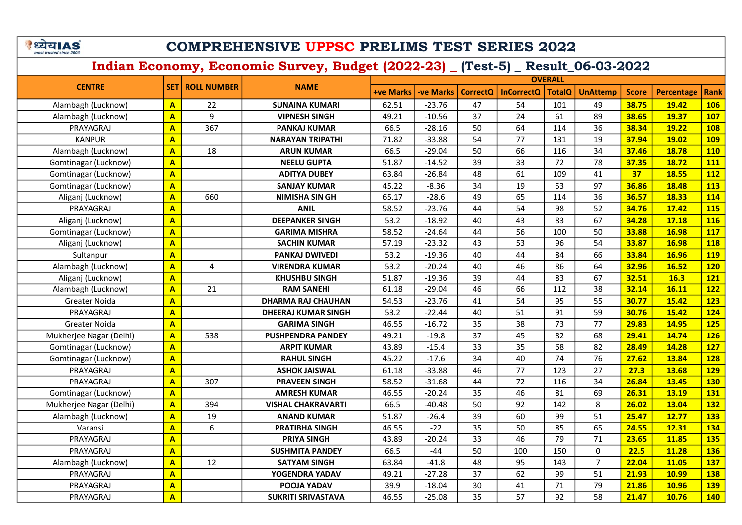#### COMPREHENSIVE UPPSC PRELIMS TEST SERIES 2022

| <b>CENTRE</b>           |                         |                        | <b>NAME</b>                | <b>OVERALL</b>   |           |                 |                   |               |                 |              |                   |             |  |
|-------------------------|-------------------------|------------------------|----------------------------|------------------|-----------|-----------------|-------------------|---------------|-----------------|--------------|-------------------|-------------|--|
|                         |                         | <b>SET ROLL NUMBER</b> |                            | <b>+ve Marks</b> | -ve Marks | <b>CorrectQ</b> | <b>InCorrectQ</b> | <b>TotalQ</b> | <b>UnAttemp</b> | <b>Score</b> | <b>Percentage</b> | <b>Rank</b> |  |
| Alambagh (Lucknow)      | $\mathbf{A}$            | 22                     | <b>SUNAINA KUMARI</b>      | 62.51            | $-23.76$  | 47              | 54                | 101           | 49              | 38.75        | 19.42             | <b>106</b>  |  |
| Alambagh (Lucknow)      | $\mathbf{A}$            | 9                      | <b>VIPNESH SINGH</b>       | 49.21            | $-10.56$  | 37              | 24                | 61            | 89              | 38.65        | 19.37             | <b>107</b>  |  |
| PRAYAGRAJ               | $\overline{A}$          | 367                    | <b>PANKAJ KUMAR</b>        | 66.5             | $-28.16$  | 50              | 64                | 114           | 36              | 38.34        | 19.22             | <b>108</b>  |  |
| <b>KANPUR</b>           | $\overline{\mathbf{A}}$ |                        | <b>NARAYAN TRIPATHI</b>    | 71.82            | $-33.88$  | 54              | 77                | 131           | 19              | 37.94        | 19.02             | <b>109</b>  |  |
| Alambagh (Lucknow)      | $\mathbf{A}$            | 18                     | <b>ARUN KUMAR</b>          | 66.5             | $-29.04$  | 50              | 66                | 116           | 34              | 37.46        | 18.78             | <b>110</b>  |  |
| Gomtinagar (Lucknow)    | $\mathbf{A}$            |                        | <b>NEELU GUPTA</b>         | 51.87            | $-14.52$  | 39              | 33                | 72            | 78              | 37.35        | 18.72             | 111         |  |
| Gomtinagar (Lucknow)    | $\mathbf{A}$            |                        | <b>ADITYA DUBEY</b>        | 63.84            | $-26.84$  | 48              | 61                | 109           | 41              | 37           | 18.55             | <b>112</b>  |  |
| Gomtinagar (Lucknow)    | $\mathbf{A}$            |                        | <b>SANJAY KUMAR</b>        | 45.22            | $-8.36$   | 34              | 19                | 53            | 97              | 36.86        | 18.48             | <b>113</b>  |  |
| Aliganj (Lucknow)       | $\mathbf{A}$            | 660                    | <b>NIMISHA SIN GH</b>      | 65.17            | $-28.6$   | 49              | 65                | 114           | 36              | 36.57        | 18.33             | 114         |  |
| PRAYAGRAJ               | $\mathbf{A}$            |                        | <b>ANIL</b>                | 58.52            | $-23.76$  | 44              | 54                | 98            | 52              | 34.76        | 17.42             | <b>115</b>  |  |
| Aliganj (Lucknow)       | $\mathbf{A}$            |                        | <b>DEEPANKER SINGH</b>     | 53.2             | $-18.92$  | 40              | 43                | 83            | 67              | 34.28        | 17.18             | <b>116</b>  |  |
| Gomtinagar (Lucknow)    | $\overline{\mathbf{A}}$ |                        | <b>GARIMA MISHRA</b>       | 58.52            | $-24.64$  | 44              | 56                | 100           | 50              | 33.88        | 16.98             | <b>117</b>  |  |
| Aliganj (Lucknow)       | $\mathbf{A}$            |                        | <b>SACHIN KUMAR</b>        | 57.19            | $-23.32$  | 43              | 53                | 96            | 54              | 33.87        | 16.98             | <b>118</b>  |  |
| Sultanpur               | $\mathbf{A}$            |                        | <b>PANKAJ DWIVEDI</b>      | 53.2             | $-19.36$  | 40              | 44                | 84            | 66              | 33.84        | <b>16.96</b>      | <b>119</b>  |  |
| Alambagh (Lucknow)      | $\mathbf{A}$            | 4                      | <b>VIRENDRA KUMAR</b>      | 53.2             | $-20.24$  | 40              | 46                | 86            | 64              | 32.96        | 16.52             | <b>120</b>  |  |
| Aliganj (Lucknow)       | $\mathbf{A}$            |                        | <b>KHUSHBU SINGH</b>       | 51.87            | $-19.36$  | 39              | 44                | 83            | 67              | 32.51        | 16.3              | <b>121</b>  |  |
| Alambagh (Lucknow)      | $\overline{A}$          | 21                     | <b>RAM SANEHI</b>          | 61.18            | $-29.04$  | 46              | 66                | 112           | 38              | 32.14        | 16.11             | <b>122</b>  |  |
| Greater Noida           | $\overline{\mathbf{A}}$ |                        | <b>DHARMA RAJ CHAUHAN</b>  | 54.53            | $-23.76$  | 41              | 54                | 95            | 55              | 30.77        | 15.42             | <b>123</b>  |  |
| PRAYAGRAJ               | $\overline{\mathbf{A}}$ |                        | <b>DHEERAJ KUMAR SINGH</b> | 53.2             | $-22.44$  | 40              | 51                | 91            | 59              | 30.76        | 15.42             | 124         |  |
| Greater Noida           | $\mathbf{A}$            |                        | <b>GARIMA SINGH</b>        | 46.55            | $-16.72$  | 35              | 38                | 73            | 77              | 29.83        | 14.95             | 125         |  |
| Mukherjee Nagar (Delhi) | $\overline{A}$          | 538                    | <b>PUSHPENDRA PANDEY</b>   | 49.21            | $-19.8$   | 37              | 45                | 82            | 68              | 29.41        | 14.74             | <b>126</b>  |  |
| Gomtinagar (Lucknow)    | $\mathbf{A}$            |                        | <b>ARPIT KUMAR</b>         | 43.89            | $-15.4$   | 33              | 35                | 68            | 82              | 28.49        | 14.28             | <b>127</b>  |  |
| Gomtinagar (Lucknow)    | $\mathbf{A}$            |                        | <b>RAHUL SINGH</b>         | 45.22            | $-17.6$   | 34              | 40                | 74            | 76              | 27.62        | 13.84             | 128         |  |
| PRAYAGRAJ               | $\mathbf{A}$            |                        | <b>ASHOK JAISWAL</b>       | 61.18            | $-33.88$  | 46              | 77                | 123           | 27              | 27.3         | 13.68             | <b>129</b>  |  |
| PRAYAGRAJ               | $\overline{A}$          | 307                    | <b>PRAVEEN SINGH</b>       | 58.52            | $-31.68$  | 44              | 72                | 116           | 34              | 26.84        | 13.45             | <b>130</b>  |  |
| Gomtinagar (Lucknow)    | $\overline{\mathbf{A}}$ |                        | <b>AMRESH KUMAR</b>        | 46.55            | $-20.24$  | 35              | 46                | 81            | 69              | 26.31        | 13.19             | 131         |  |
| Mukherjee Nagar (Delhi) | $\overline{\mathbf{A}}$ | 394                    | <b>VISHAL CHAKRAVARTI</b>  | 66.5             | $-40.48$  | 50              | 92                | 142           | $\bf 8$         | 26.02        | 13.04             | <b>132</b>  |  |
| Alambagh (Lucknow)      | $\overline{\mathbf{A}}$ | 19                     | <b>ANAND KUMAR</b>         | 51.87            | $-26.4$   | 39              | 60                | 99            | 51              | 25.47        | 12.77             | <b>133</b>  |  |
| Varansi                 | $\overline{\mathbf{A}}$ | 6                      | <b>PRATIBHA SINGH</b>      | 46.55            | $-22$     | 35              | 50                | 85            | 65              | 24.55        | 12.31             | <b>134</b>  |  |
| PRAYAGRAJ               | $\overline{\mathbf{A}}$ |                        | <b>PRIYA SINGH</b>         | 43.89            | $-20.24$  | 33              | 46                | 79            | 71              | 23.65        | 11.85             | <b>135</b>  |  |
| PRAYAGRAJ               | $\mathbf{A}$            |                        | <b>SUSHMITA PANDEY</b>     | 66.5             | $-44$     | 50              | 100               | 150           | $\mathbf 0$     | 22.5         | 11.28             | <b>136</b>  |  |
| Alambagh (Lucknow)      | $\overline{\mathbf{A}}$ | 12                     | <b>SATYAM SINGH</b>        | 63.84            | $-41.8$   | 48              | 95                | 143           | $\overline{7}$  | 22.04        | 11.05             | <b>137</b>  |  |
| PRAYAGRAJ               | $\overline{A}$          |                        | YOGENDRA YADAV             | 49.21            | $-27.28$  | 37              | 62                | 99            | 51              | 21.93        | 10.99             | <b>138</b>  |  |
| PRAYAGRAJ               | $\overline{\mathsf{A}}$ |                        | POOJA YADAV                | 39.9             | $-18.04$  | 30              | 41                | 71            | 79              | 21.86        | 10.96             | <b>139</b>  |  |
| PRAYAGRAJ               | $\overline{\mathsf{A}}$ |                        | <b>SUKRITI SRIVASTAVA</b>  | 46.55            | $-25.08$  | 35              | 57                | 92            | 58              | 21.47        | 10.76             | <b>140</b>  |  |